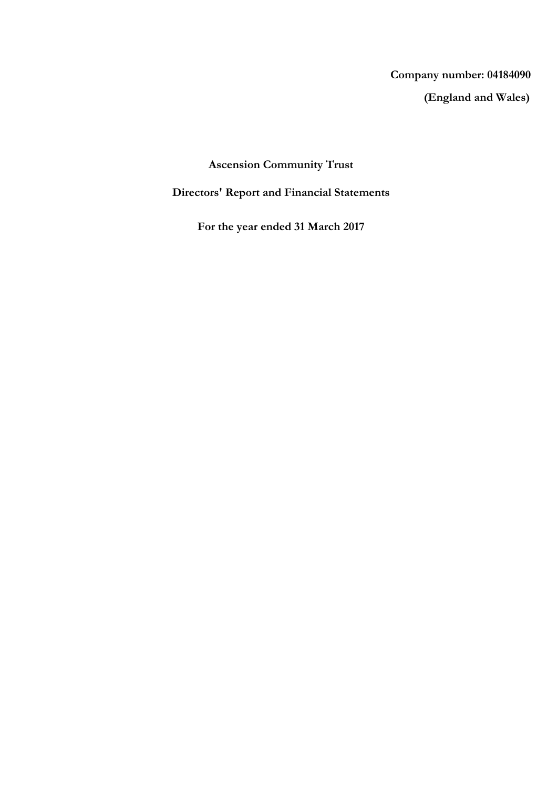# **(England and Wales) Company number: 04184090**

## **Ascension Community Trust**

## **Directors' Report and Financial Statements**

**For the year ended 31 March 2017**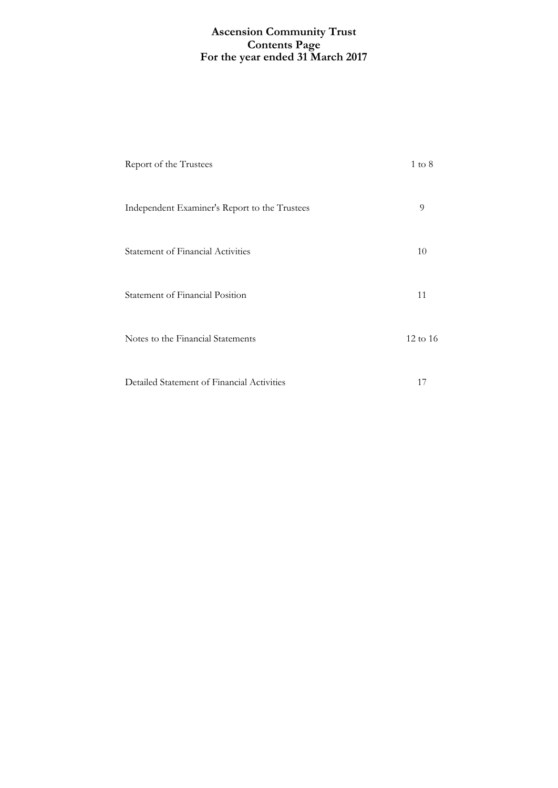## **For the year ended 31 March 2017 Ascension Community Trust Contents Page**

| Report of the Trustees                        | $1 \text{ to } 8$   |
|-----------------------------------------------|---------------------|
| Independent Examiner's Report to the Trustees | 9                   |
| <b>Statement of Financial Activities</b>      | 10                  |
| <b>Statement of Financial Position</b>        | 11                  |
| Notes to the Financial Statements             | $12 \text{ to } 16$ |
| Detailed Statement of Financial Activities    | 17                  |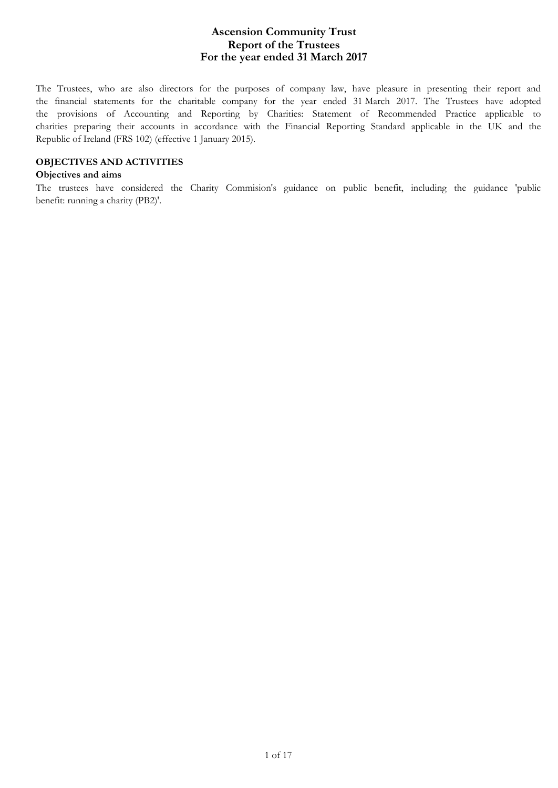The Trustees, who are also directors for the purposes of company law, have pleasure in presenting their report and the financial statements for the charitable company for the year ended 31 March 2017. The Trustees have adopted the provisions of Accounting and Reporting by Charities: Statement of Recommended Practice applicable to charities preparing their accounts in accordance with the Financial Reporting Standard applicable in the UK and the Republic of Ireland (FRS 102) (effective 1 January 2015).

### **OBJECTIVES AND ACTIVITIES**

### **Objectives and aims**

The trustees have considered the Charity Commision's guidance on public benefit, including the guidance 'public benefit: running a charity (PB2)'.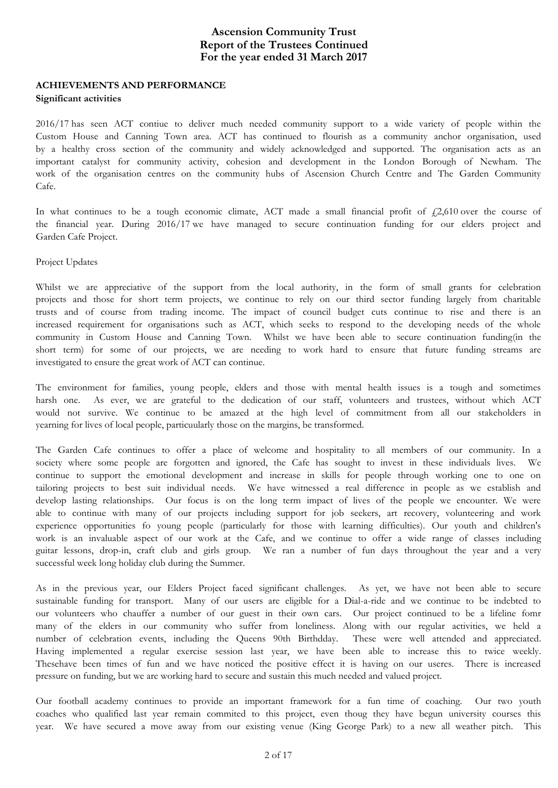### **ACHIEVEMENTS AND PERFORMANCE Significant activities**

2016/17 has seen ACT contiue to deliver much needed community support to a wide variety of people within the Custom House and Canning Town area. ACT has continued to flourish as a community anchor organisation, used by a healthy cross section of the community and widely acknowledged and supported. The organisation acts as an important catalyst for community activity, cohesion and development in the London Borough of Newham. The work of the organisation centres on the community hubs of Ascension Church Centre and The Garden Community Cafe.

In what continues to be a tough economic climate, ACT made a small financial profit of  $\ell$ 2,610 over the course of the financial year. During 2016/17 we have managed to secure continuation funding for our elders project and Garden Cafe Project.

Project Updates

Whilst we are appreciative of the support from the local authority, in the form of small grants for celebration projects and those for short term projects, we continue to rely on our third sector funding largely from charitable trusts and of course from trading income. The impact of council budget cuts continue to rise and there is an increased requirement for organisations such as ACT, which seeks to respond to the developing needs of the whole community in Custom House and Canning Town. Whilst we have been able to secure continuation funding(in the short term) for some of our projects, we are needing to work hard to ensure that future funding streams are investigated to ensure the great work of ACT can continue.

The environment for families, young people, elders and those with mental health issues is a tough and sometimes harsh one. As ever, we are grateful to the dedication of our staff, volunteers and trustees, without which ACT would not survive. We continue to be amazed at the high level of commitment from all our stakeholders in yearning for lives of local people, particuularly those on the margins, be transformed.

The Garden Cafe continues to offer a place of welcome and hospitality to all members of our community. In a society where some people are forgotten and ignored, the Cafe has sought to invest in these individuals lives. We continue to support the emotional development and increase in skills for people through working one to one on tailoring projects to best suit individual needs. We have witnessed a real difference in people as we establish and develop lasting relationships. Our focus is on the long term impact of lives of the people we encounter. We were able to continue with many of our projects including support for job seekers, art recovery, volunteering and work experience opportunities fo young people (particularly for those with learning difficulties). Our youth and children's work is an invaluable aspect of our work at the Cafe, and we continue to offer a wide range of classes including guitar lessons, drop-in, craft club and girls group. We ran a number of fun days throughout the year and a very successful week long holiday club during the Summer.

As in the previous year, our Elders Project faced significant challenges. As yet, we have not been able to secure sustainable funding for transport. Many of our users are eligible for a Dial-a-ride and we continue to be indebted to our volunteers who chauffer a number of our guest in their own cars. Our project continued to be a lifeline fomr many of the elders in our community who suffer from loneliness. Along with our regular activities, we held a number of celebration events, including the Queens 90th Birthdday. These were well attended and appreciated. Having implemented a regular exercise session last year, we have been able to increase this to twice weekly. Thesehave been times of fun and we have noticed the positive effect it is having on our useres. There is increased pressure on funding, but we are working hard to secure and sustain this much needed and valued project.

Our football academy continues to provide an important framework for a fun time of coaching. Our two youth coaches who qualified last year remain commited to this project, even thoug they have begun university courses this year. We have secured a move away from our existing venue (King George Park) to a new all weather pitch. This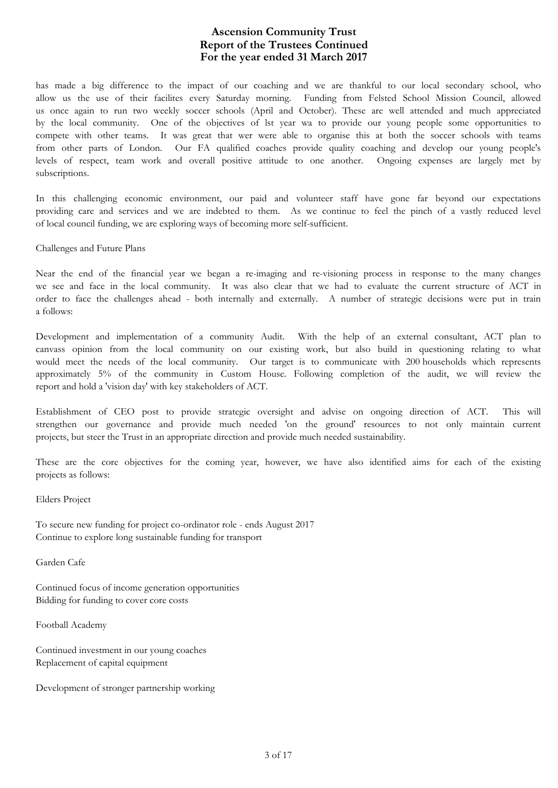has made a big difference to the impact of our coaching and we are thankful to our local secondary school, who allow us the use of their facilites every Saturday morning. Funding from Felsted School Mission Council, allowed us once again to run two weekly soccer schools (April and October). These are well attended and much appreciated by the local community. One of the objectives of lst year wa to provide our young people some opportunities to compete with other teams. It was great that wer were able to organise this at both the soccer schools with teams from other parts of London. Our FA qualified coaches provide quality coaching and develop our young people's levels of respect, team work and overall positive attitude to one another. Ongoing expenses are largely met by subscriptions.

In this challenging economic environment, our paid and volunteer staff have gone far beyond our expectations providing care and services and we are indebted to them. As we continue to feel the pinch of a vastly reduced level of local council funding, we are exploring ways of becoming more self-sufficient.

Challenges and Future Plans

Near the end of the financial year we began a re-imaging and re-visioning process in response to the many changes we see and face in the local community. It was also clear that we had to evaluate the current structure of ACT in order to face the challenges ahead - both internally and externally. A number of strategic decisions were put in train a follows:

Development and implementation of a community Audit. With the help of an external consultant, ACT plan to canvass opinion from the local community on our existing work, but also build in questioning relating to what would meet the needs of the local community. Our target is to communicate with 200 households which represents approximately 5% of the community in Custom House. Following completion of the audit, we will review the report and hold a 'vision day' with key stakeholders of ACT.

Establishment of CEO post to provide strategic oversight and advise on ongoing direction of ACT. This will strengthen our governance and provide much needed 'on the ground' resources to not only maintain current projects, but steer the Trust in an appropriate direction and provide much needed sustainability.

These are the core objectives for the coming year, however, we have also identified aims for each of the existing projects as follows:

Elders Project

To secure new funding for project co-ordinator role - ends August 2017 Continue to explore long sustainable funding for transport

Garden Cafe

Continued focus of income generation opportunities Bidding for funding to cover core costs

Football Academy

Continued investment in our young coaches Replacement of capital equipment

Development of stronger partnership working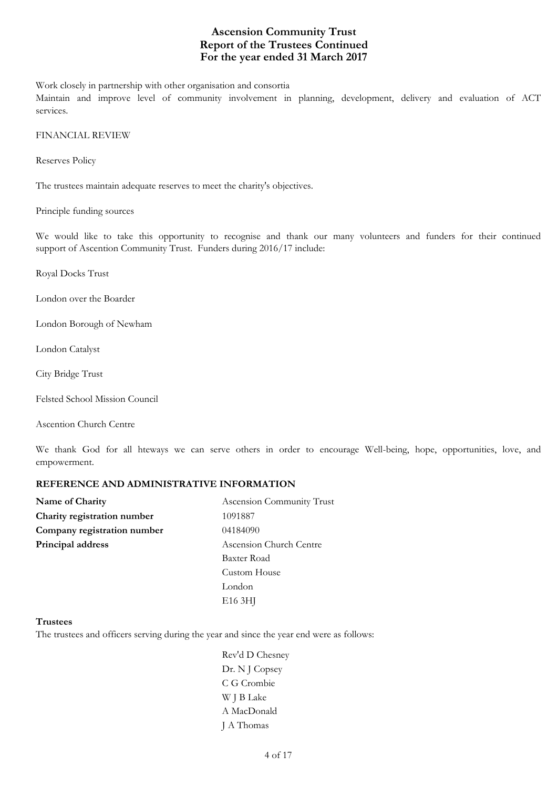Work closely in partnership with other organisation and consortia

Maintain and improve level of community involvement in planning, development, delivery and evaluation of ACT services.

FINANCIAL REVIEW

Reserves Policy

The trustees maintain adequate reserves to meet the charity's objectives.

Principle funding sources

We would like to take this opportunity to recognise and thank our many volunteers and funders for their continued support of Ascention Community Trust. Funders during 2016/17 include:

Royal Docks Trust

London over the Boarder

London Borough of Newham

London Catalyst

- City Bridge Trust
- Felsted School Mission Council

Ascention Church Centre

We thank God for all hteways we can serve others in order to encourage Well-being, hope, opportunities, love, and empowerment.

### **REFERENCE AND ADMINISTRATIVE INFORMATION**

| Name of Charity             | Ascension Community Trust |  |
|-----------------------------|---------------------------|--|
| Charity registration number | 1091887                   |  |
| Company registration number | 04184090                  |  |
| Principal address           | Ascension Church Centre   |  |
|                             | Baxter Road               |  |
|                             | Custom House              |  |
|                             | London                    |  |
|                             | E <sub>16</sub> 3HJ       |  |

#### **Trustees**

The trustees and officers serving during the year and since the year end were as follows:

Rev'd D Chesney Dr. N J Copsey C G Crombie W J B Lake A MacDonald J A Thomas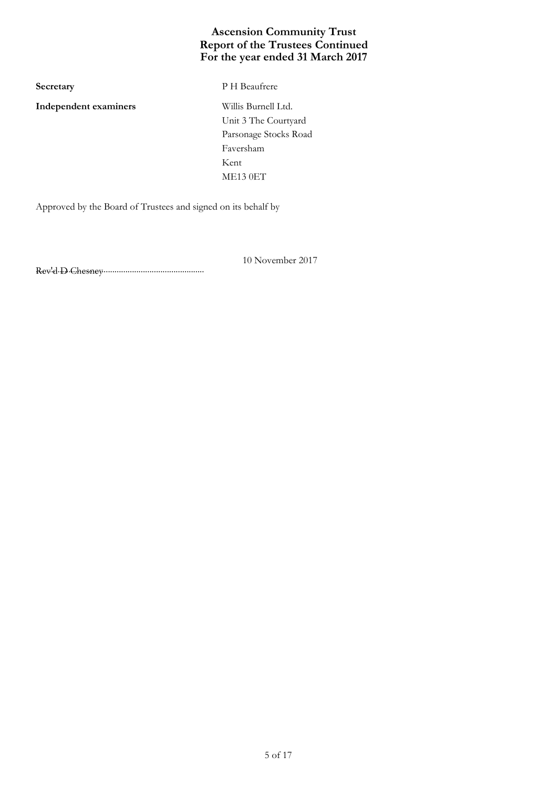**Independent examiners** Willis Burnell Ltd.

**Secretary** P H Beaufrere

Unit 3 The Courtyard Parsonage Stocks Road Faversham Kent ME13 0ET

Approved by the Board of Trustees and signed on its behalf by

10 November 2017

............................................................................. Rev'd D Chesney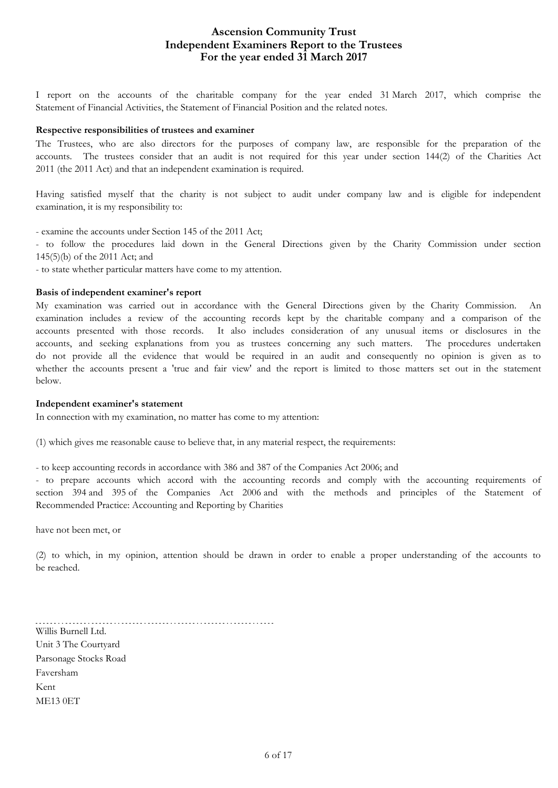## **For the year ended 31 March 2017 Ascension Community Trust Independent Examiners Report to the Trustees**

I report on the accounts of the charitable company for the year ended 31 March 2017, which comprise the Statement of Financial Activities, the Statement of Financial Position and the related notes.

#### **Respective responsibilities of trustees and examiner**

The Trustees, who are also directors for the purposes of company law, are responsible for the preparation of the accounts. The trustees consider that an audit is not required for this year under section 144(2) of the Charities Act 2011 (the 2011 Act) and that an independent examination is required.

Having satisfied myself that the charity is not subject to audit under company law and is eligible for independent examination, it is my responsibility to:

- examine the accounts under Section 145 of the 2011 Act;

- to follow the procedures laid down in the General Directions given by the Charity Commission under section 145(5)(b) of the 2011 Act; and

- to state whether particular matters have come to my attention.

#### **Basis of independent examiner's report**

My examination was carried out in accordance with the General Directions given by the Charity Commission. An examination includes a review of the accounting records kept by the charitable company and a comparison of the accounts presented with those records. It also includes consideration of any unusual items or disclosures in the accounts, and seeking explanations from you as trustees concerning any such matters. The procedures undertaken do not provide all the evidence that would be required in an audit and consequently no opinion is given as to whether the accounts present a 'true and fair view' and the report is limited to those matters set out in the statement below.

#### **Independent examiner's statement**

In connection with my examination, no matter has come to my attention:

(1) which gives me reasonable cause to believe that, in any material respect, the requirements:

- to keep accounting records in accordance with 386 and 387 of the Companies Act 2006; and

- to prepare accounts which accord with the accounting records and comply with the accounting requirements of section 394 and 395 of the Companies Act 2006 and with the methods and principles of the Statement of Recommended Practice: Accounting and Reporting by Charities

have not been met, or

(2) to which, in my opinion, attention should be drawn in order to enable a proper understanding of the accounts to be reached.

Willis Burnell Ltd. Unit 3 The Courtyard Parsonage Stocks Road Faversham Kent ME13 0ET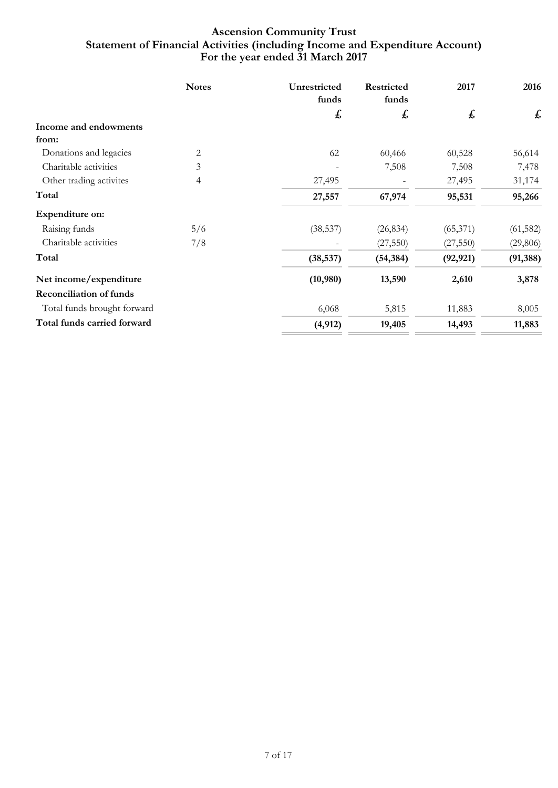## **For the year ended 31 March 2017 Ascension Community Trust Statement of Financial Activities (including Income and Expenditure Account)**

|                                | <b>Notes</b> | Unrestricted<br>funds | Restricted<br>funds | 2017      | 2016      |
|--------------------------------|--------------|-----------------------|---------------------|-----------|-----------|
|                                |              | £                     | £                   | £         | £         |
| Income and endowments          |              |                       |                     |           |           |
| from:                          |              |                       |                     |           |           |
| Donations and legacies         | 2            | 62                    | 60,466              | 60,528    | 56,614    |
| Charitable activities          | 3            |                       | 7,508               | 7,508     | 7,478     |
| Other trading activites        | 4            | 27,495                |                     | 27,495    | 31,174    |
| Total                          |              | 27,557                | 67,974              | 95,531    | 95,266    |
| Expenditure on:                |              |                       |                     |           |           |
| Raising funds                  | 5/6          | (38, 537)             | (26, 834)           | (65, 371) | (61, 582) |
| Charitable activities          | 7/8          |                       | (27, 550)           | (27, 550) | (29, 806) |
| Total                          |              | (38, 537)             | (54, 384)           | (92, 921) | (91, 388) |
| Net income/expenditure         |              | (10,980)              | 13,590              | 2,610     | 3,878     |
| <b>Reconciliation of funds</b> |              |                       |                     |           |           |
| Total funds brought forward    |              | 6,068                 | 5,815               | 11,883    | 8,005     |
| Total funds carried forward    |              | (4, 912)              | 19,405              | 14,493    | 11,883    |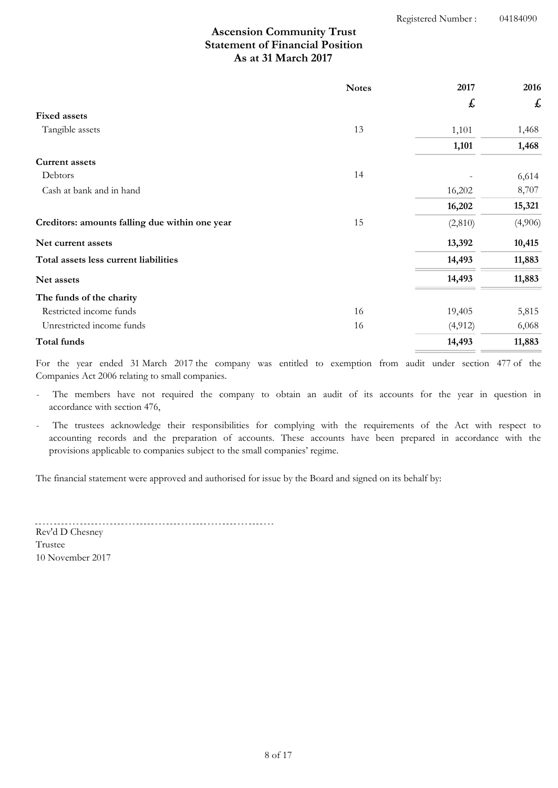## **As at 31 March 2017 Ascension Community Trust Statement of Financial Position**

|                                                | <b>Notes</b> | 2017               | 2016    |
|------------------------------------------------|--------------|--------------------|---------|
|                                                |              | $\pmb{\mathit{f}}$ | £       |
| <b>Fixed assets</b>                            |              |                    |         |
| Tangible assets                                | 13           | 1,101              | 1,468   |
|                                                |              | 1,101              | 1,468   |
| <b>Current assets</b>                          |              |                    |         |
| Debtors                                        | 14           |                    | 6,614   |
| Cash at bank and in hand                       |              | 16,202             | 8,707   |
|                                                |              | 16,202             | 15,321  |
| Creditors: amounts falling due within one year | 15           | (2,810)            | (4,906) |
| Net current assets                             |              | 13,392             | 10,415  |
| Total assets less current liabilities          |              | 14,493             | 11,883  |
| Net assets                                     |              | 14,493             | 11,883  |
| The funds of the charity                       |              |                    |         |
| Restricted income funds                        | 16           | 19,405             | 5,815   |
| Unrestricted income funds                      | 16           | (4, 912)           | 6,068   |
| Total funds                                    |              | 14,493             | 11,883  |

For the year ended 31 March 2017 the company was entitled to exemption from audit under section 477 of the Companies Act 2006 relating to small companies.

The members have not required the company to obtain an audit of its accounts for the year in question in accordance with section 476,

The trustees acknowledge their responsibilities for complying with the requirements of the Act with respect to accounting records and the preparation of accounts. These accounts have been prepared in accordance with the provisions applicable to companies subject to the small companies' regime.

The financial statement were approved and authorised for issue by the Board and signed on its behalf by:

Rev'd D Chesney

10 November 2017 Trustee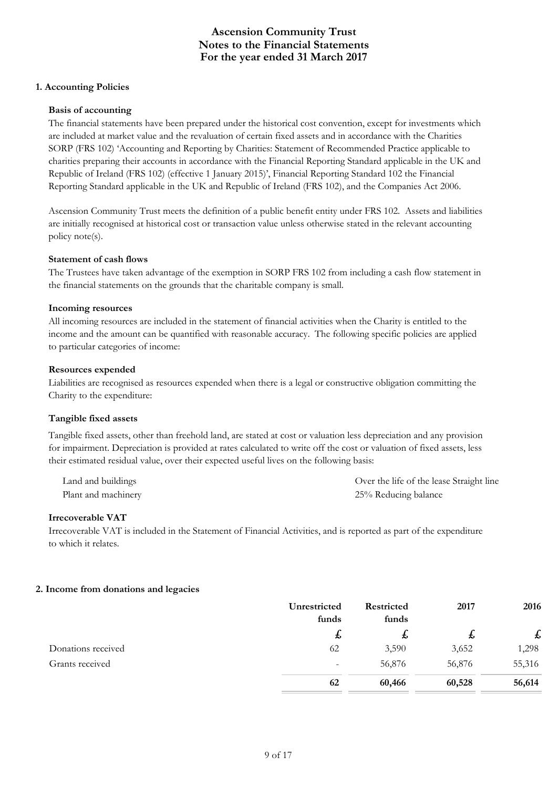### **1. Accounting Policies**

### **Basis of accounting**

The financial statements have been prepared under the historical cost convention, except for investments which are included at market value and the revaluation of certain fixed assets and in accordance with the Charities SORP (FRS 102) 'Accounting and Reporting by Charities: Statement of Recommended Practice applicable to charities preparing their accounts in accordance with the Financial Reporting Standard applicable in the UK and Republic of Ireland (FRS 102) (effective 1 January 2015)', Financial Reporting Standard 102 the Financial Reporting Standard applicable in the UK and Republic of Ireland (FRS 102), and the Companies Act 2006.

Ascension Community Trust meets the definition of a public benefit entity under FRS 102. Assets and liabilities are initially recognised at historical cost or transaction value unless otherwise stated in the relevant accounting policy note(s).

#### **Statement of cash flows**

The Trustees have taken advantage of the exemption in SORP FRS 102 from including a cash flow statement in the financial statements on the grounds that the charitable company is small.

#### **Incoming resources**

All incoming resources are included in the statement of financial activities when the Charity is entitled to the income and the amount can be quantified with reasonable accuracy. The following specific policies are applied to particular categories of income:

### **Resources expended**

Liabilities are recognised as resources expended when there is a legal or constructive obligation committing the Charity to the expenditure:

### **Tangible fixed assets**

Tangible fixed assets, other than freehold land, are stated at cost or valuation less depreciation and any provision for impairment. Depreciation is provided at rates calculated to write off the cost or valuation of fixed assets, less their estimated residual value, over their expected useful lives on the following basis:

Land and buildings Over the life of the lease Straight line Plant and machinery 25% Reducing balance

#### **Irrecoverable VAT**

Irrecoverable VAT is included in the Statement of Financial Activities, and is reported as part of the expenditure to which it relates.

### **2. Income from donations and legacies**

|                    | Unrestricted<br>funds    | <b>Restricted</b><br>funds | 2017   | 2016   |
|--------------------|--------------------------|----------------------------|--------|--------|
|                    | $\mathbf{f}$             | $\boldsymbol{t}$           | ょ      | £      |
| Donations received | 62                       | 3,590                      | 3,652  | 1,298  |
| Grants received    | $\overline{\phantom{0}}$ | 56,876                     | 56,876 | 55,316 |
|                    | 62                       | 60,466                     | 60,528 | 56,614 |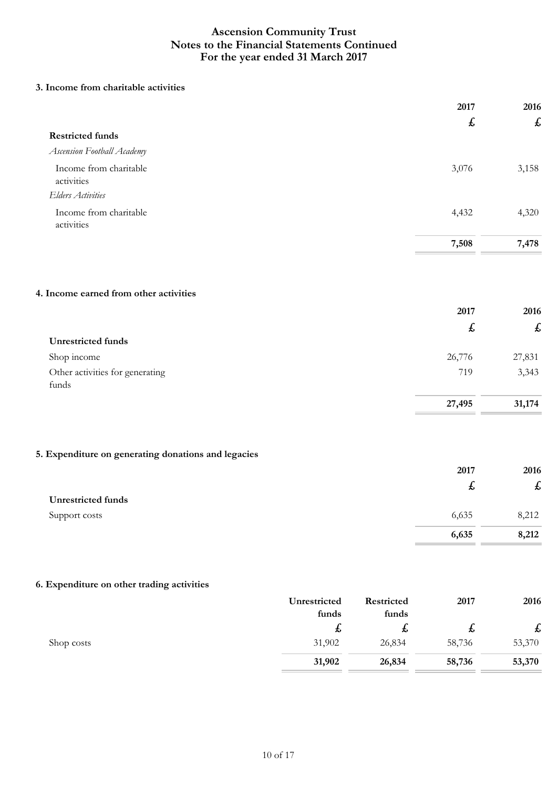### **3. Income from charitable activities**

|                                                     | 2017               | 2016                      |
|-----------------------------------------------------|--------------------|---------------------------|
|                                                     | £                  | $\boldsymbol{\mathit{f}}$ |
| <b>Restricted funds</b>                             |                    |                           |
| Ascension Football Academy                          |                    |                           |
| Income from charitable                              | 3,076              | 3,158                     |
| activities                                          |                    |                           |
| <b>Elders Activities</b>                            |                    |                           |
| Income from charitable<br>activities                | 4,432              | 4,320                     |
|                                                     | 7,508              | 7,478                     |
|                                                     |                    |                           |
| 4. Income earned from other activities              |                    |                           |
|                                                     | 2017               | 2016                      |
|                                                     | $\pmb{\mathit{f}}$ | $\pmb{\mathit{f}}$        |
| <b>Unrestricted funds</b>                           |                    |                           |
| Shop income                                         | 26,776             | 27,831                    |
| Other activities for generating<br>funds            | 719                | 3,343                     |
|                                                     | 27,495             | 31,174                    |
|                                                     |                    |                           |
| 5. Expenditure on generating donations and legacies |                    |                           |
|                                                     | 2017               | 2016                      |
|                                                     | £                  | £                         |
| <b>Unrestricted funds</b>                           |                    |                           |
| Support costs                                       | 6,635              | 8,212                     |
|                                                     | 6,635              | 8,212                     |
|                                                     |                    |                           |

## **6. Expenditure on other trading activities**

|            | Unrestricted | <b>Restricted</b> | 2017   | 2016                      |
|------------|--------------|-------------------|--------|---------------------------|
|            | funds        | funds             |        |                           |
|            | た            | た                 | ゎ      | $\boldsymbol{\mathsf{f}}$ |
| Shop costs | 31,902       | 26,834            | 58,736 | 53,370                    |
|            | 31,902       | 26,834            | 58,736 | 53,370                    |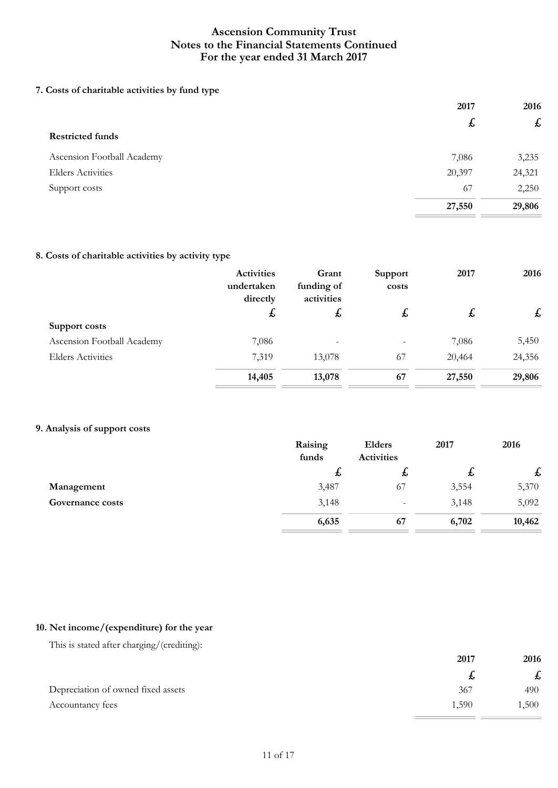### **7. Costs of charitable activities by fund type**

|                            | 2017   | 2016              |
|----------------------------|--------|-------------------|
|                            | £      | $f_{\mathcal{L}}$ |
| <b>Restricted funds</b>    |        |                   |
| Ascension Football Academy | 7,086  | 3,235             |
| <b>Elders Activities</b>   | 20,397 | 24,321            |
| Support costs              | 67     | 2,250             |
|                            | 27,550 | 29,806            |

### **8. Costs of charitable activities by activity type**

|                            | Activities<br>undertaken<br>directly | Grant<br>funding of<br>activities | Support<br>costs | 2017         | 2016               |
|----------------------------|--------------------------------------|-----------------------------------|------------------|--------------|--------------------|
|                            | £                                    | $\mathbf{f}$                      | $\mathfrak{p}$   | $\mathbf{f}$ | $\pmb{\mathit{f}}$ |
| Support costs              |                                      |                                   |                  |              |                    |
| Ascension Football Academy | 7,086                                |                                   |                  | 7,086        | 5,450              |
| <b>Elders Activities</b>   | 7,319                                | 13,078                            | 67               | 20,464       | 24,356             |
|                            | 14,405                               | 13,078                            | 67               | 27,550       | 29,806             |

### **9. Analysis of support costs**

|                  | Raising<br>funds | Elders<br><b>Activities</b> | 2017  | 2016         |
|------------------|------------------|-----------------------------|-------|--------------|
|                  | ゎ                | た                           | ゎ     | $\mathbf{f}$ |
| Management       | 3,487            | 67                          | 3,554 | 5,370        |
| Governance costs | 3,148            | $\overline{\phantom{a}}$    | 3,148 | 5,092        |
|                  | 6,635            | 67                          | 6,702 | 10,462       |

### **10. Net income/(expenditure) for the year**

This is stated after charging/(crediting):

|                                    | 2017        | 2016<br>t, |
|------------------------------------|-------------|------------|
|                                    |             |            |
| Depreciation of owned fixed assets | 367         | 490        |
| Accountancy fees                   | <b>.590</b> | ,500       |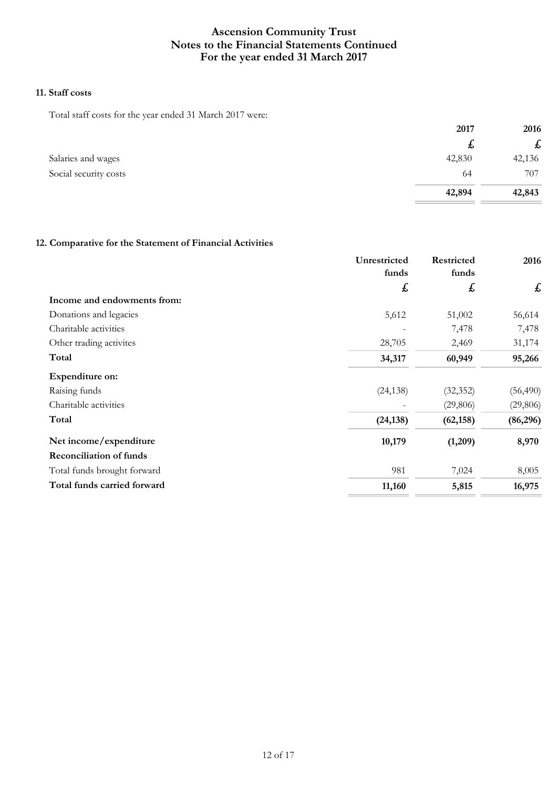### **11. Staff costs**

Total staff costs for the year ended 31 March 2017 were:

|                       | 2017   | 2016         |
|-----------------------|--------|--------------|
|                       | £,     | $\mathbf{f}$ |
| Salaries and wages    | 42,830 | 42,136       |
| Social security costs | 64     | 707          |
|                       | 42,894 | 42,843       |

## **12. Comparative for the Statement of Financial Activities**

|                                | Unrestricted<br>funds | Restricted<br>funds | 2016      |
|--------------------------------|-----------------------|---------------------|-----------|
|                                | £                     | £                   | £         |
| Income and endowments from:    |                       |                     |           |
| Donations and legacies         | 5,612                 | 51,002              | 56,614    |
| Charitable activities          |                       | 7,478               | 7,478     |
| Other trading activites        | 28,705                | 2,469               | 31,174    |
| Total                          | 34,317                | 60,949              | 95,266    |
| Expenditure on:                |                       |                     |           |
| Raising funds                  | (24, 138)             | (32, 352)           | (56, 490) |
| Charitable activities          |                       | (29,806)            | (29, 806) |
| Total                          | (24, 138)             | (62, 158)           | (86,296)  |
| Net income/expenditure         | 10,179                | (1,209)             | 8,970     |
| <b>Reconciliation of funds</b> |                       |                     |           |
| Total funds brought forward    | 981                   | 7,024               | 8,005     |
| Total funds carried forward    | 11,160                | 5,815               | 16,975    |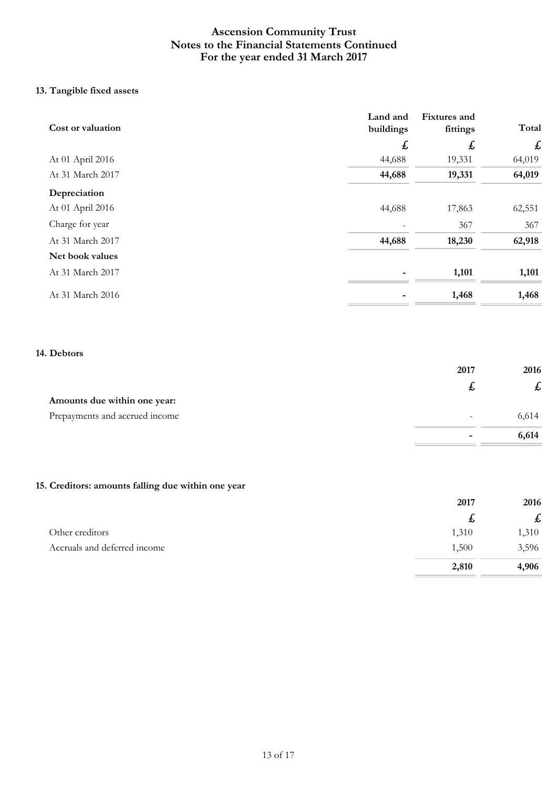## **13. Tangible fixed assets**

| Cost or valuation | Land and<br>buildings | Fixtures and<br>fittings | Total  |
|-------------------|-----------------------|--------------------------|--------|
|                   | £                     | £                        | £      |
| At 01 April 2016  | 44,688                | 19,331                   | 64,019 |
| At 31 March 2017  | 44,688                | 19,331                   | 64,019 |
| Depreciation      |                       |                          |        |
| At 01 April 2016  | 44,688                | 17,863                   | 62,551 |
| Charge for year   |                       | 367                      | 367    |
| At 31 March 2017  | 44,688                | 18,230                   | 62,918 |
| Net book values   |                       |                          |        |
| At 31 March 2017  |                       | 1,101                    | 1,101  |
| At 31 March 2016  |                       | 1,468                    | 1,468  |

#### **14. Debtors**

|                                | 2017                     | 2016<br>£, |
|--------------------------------|--------------------------|------------|
|                                | ょ                        |            |
| Amounts due within one year:   |                          |            |
| Prepayments and accrued income | $\overline{\phantom{0}}$ | 6,614      |
|                                | ۰                        | 6,614      |

## **15. Creditors: amounts falling due within one year**

|                              | 2017         | 2016  |
|------------------------------|--------------|-------|
|                              | $\mathbf{f}$ | £     |
| Other creditors              | 1,310        | 1,310 |
| Accruals and deferred income | 1,500        | 3,596 |
|                              | 2,810        | 4,906 |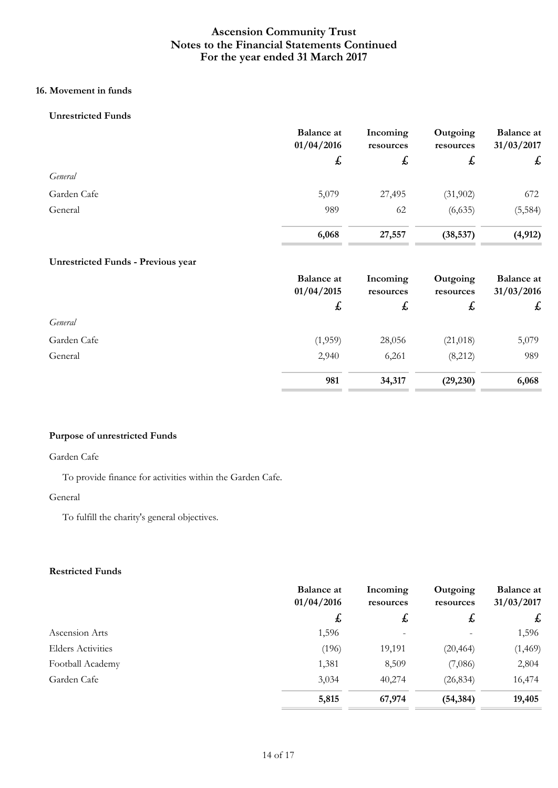## **16. Movement in funds**

### **Unrestricted Funds**

|             | <b>Balance</b> at<br>01/04/2016 | Incoming<br>resources | Outgoing<br>resources | <b>Balance at</b><br>31/03/2017 |
|-------------|---------------------------------|-----------------------|-----------------------|---------------------------------|
|             | £                               | $\mathbf{f}$          | £                     | $\mathbf{f}$                    |
| General     |                                 |                       |                       |                                 |
| Garden Cafe | 5,079                           | 27,495                | (31,902)              | 672                             |
| General     | 989                             | 62                    | (6,635)               | (5, 584)                        |
|             | 6,068                           | 27,557                | (38, 537)             | (4, 912)                        |

## **Unrestricted Funds - Previous year**

|             | <b>Balance at</b><br>01/04/2015 | Incoming<br>resources | Outgoing<br>resources | <b>Balance</b> at<br>31/03/2016 |              |
|-------------|---------------------------------|-----------------------|-----------------------|---------------------------------|--------------|
|             | $\pmb{\downarrow}$              | $\mathbf{f}$          |                       | £,                              | $\mathbf{f}$ |
| General     |                                 |                       |                       |                                 |              |
| Garden Cafe | (1,959)                         | 28,056                | (21,018)              | 5,079                           |              |
| General     | 2,940                           | 6,261                 | (8,212)               | 989                             |              |
|             | 981                             | 34,317                | (29, 230)             | 6,068                           |              |

### **Purpose of unrestricted Funds**

#### Garden Cafe

To provide finance for activities within the Garden Cafe.

#### General

To fulfill the charity's general objectives.

## **Restricted Funds**

|                          | <b>Balance at</b><br>01/04/2016 | Incoming<br>resources | Outgoing<br>resources | <b>Balance at</b><br>31/03/2017 |
|--------------------------|---------------------------------|-----------------------|-----------------------|---------------------------------|
|                          | £,                              | $\mathbf{f}$          | $\mathbf{f}$          | £                               |
| Ascension Arts           | 1,596                           |                       |                       | 1,596                           |
| <b>Elders Activities</b> | (196)                           | 19,191                | (20, 464)             | (1, 469)                        |
| Football Academy         | 1,381                           | 8,509                 | (7,086)               | 2,804                           |
| Garden Cafe              | 3,034                           | 40,274                | (26, 834)             | 16,474                          |
|                          | 5,815                           | 67,974                | (54, 384)             | 19,405                          |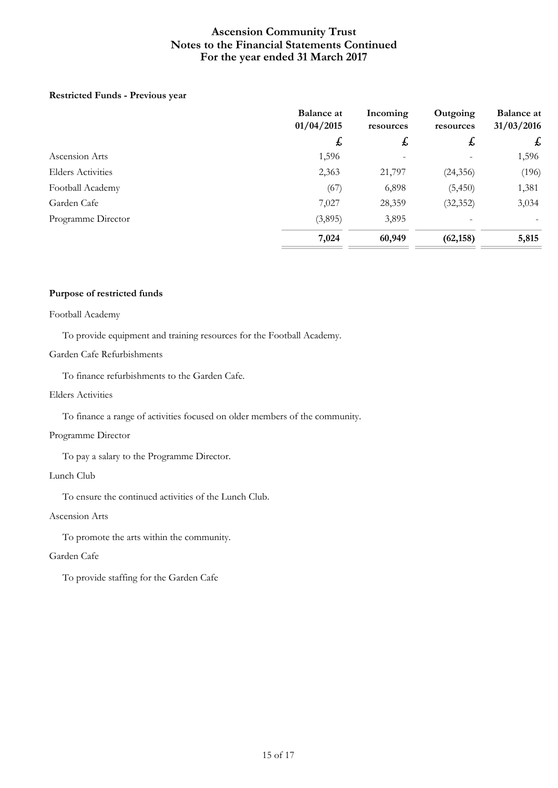### **Restricted Funds - Previous year**

|                          | <b>Balance at</b><br>01/04/2015 | Incoming<br>resources | Outgoing<br>resources | <b>Balance at</b><br>31/03/2016 |
|--------------------------|---------------------------------|-----------------------|-----------------------|---------------------------------|
|                          | $\mathbf{f}$                    | $\mathbf{f}$          | £                     | £                               |
| Ascension Arts           | 1,596                           |                       |                       | 1,596                           |
| <b>Elders Activities</b> | 2,363                           | 21,797                | (24, 356)             | (196)                           |
| Football Academy         | (67)                            | 6,898                 | (5, 450)              | 1,381                           |
| Garden Cafe              | 7,027                           | 28,359                | (32, 352)             | 3,034                           |
| Programme Director       | (3,895)                         | 3,895                 |                       |                                 |
|                          | 7,024                           | 60,949                | (62, 158)             | 5,815                           |

### **Purpose of restricted funds**

#### Football Academy

To provide equipment and training resources for the Football Academy.

### Garden Cafe Refurbishments

To finance refurbishments to the Garden Cafe.

#### Elders Activities

To finance a range of activities focused on older members of the community.

#### Programme Director

To pay a salary to the Programme Director.

#### Lunch Club

To ensure the continued activities of the Lunch Club.

### Ascension Arts

To promote the arts within the community.

### Garden Cafe

To provide staffing for the Garden Cafe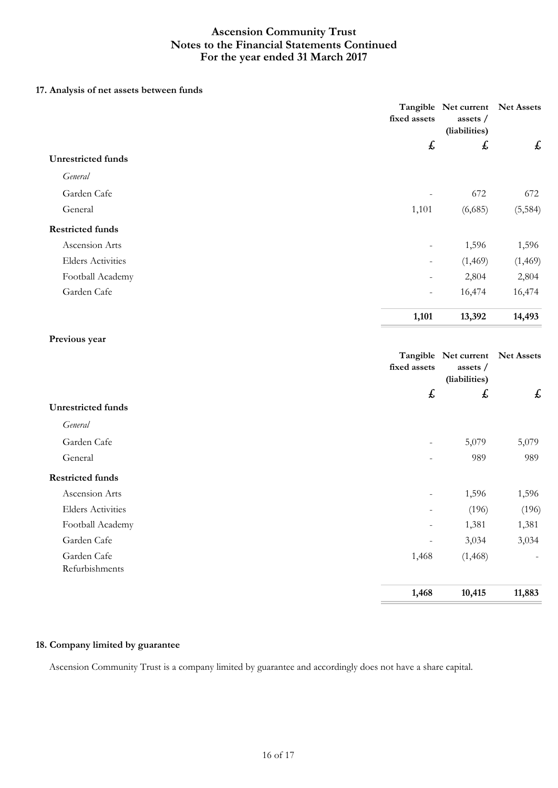### **17. Analysis of net assets between funds**

|                           | fixed assets              | Tangible Net current Net Assets<br>assets /<br>(liabilities) |          |
|---------------------------|---------------------------|--------------------------------------------------------------|----------|
|                           | $\boldsymbol{\mathit{f}}$ | $\boldsymbol{\mathsf{f}}$                                    | £        |
| <b>Unrestricted funds</b> |                           |                                                              |          |
| General                   |                           |                                                              |          |
| Garden Cafe               |                           | 672                                                          | 672      |
| General                   | 1,101                     | (6,685)                                                      | (5, 584) |
| <b>Restricted funds</b>   |                           |                                                              |          |
| Ascension Arts            |                           | 1,596                                                        | 1,596    |
| <b>Elders Activities</b>  |                           | (1,469)                                                      | (1, 469) |
| Football Academy          |                           | 2,804                                                        | 2,804    |
| Garden Cafe               | $\overline{\phantom{0}}$  | 16,474                                                       | 16,474   |
|                           | 1,101                     | 13,392                                                       | 14,493   |
| Previous year             |                           |                                                              |          |
|                           | fixed assets              | Tangible Net current Net Assets<br>assets /<br>(liabilities) |          |
| <b>Unrestricted funds</b> | $\boldsymbol{\mathit{f}}$ | £                                                            | £        |
| General                   |                           |                                                              |          |
|                           |                           |                                                              |          |
| Garden Cafe               | $\overline{\phantom{0}}$  | 5,079                                                        | 5,079    |
| General                   |                           | 989                                                          | 989      |
| <b>Restricted funds</b>   |                           |                                                              |          |

Ascension Arts 1,596 1,596 Elders Activities (196) (196) (196) Football Academy 1,381 1,381 1,381 Garden Cafe 3,034 3,034 3,034 Garden Cafe (1,468) (1,468)

 **1,468 10,415 11,883** 

### **18. Company limited by guarantee**

Refurbishments

Ascension Community Trust is a company limited by guarantee and accordingly does not have a share capital.